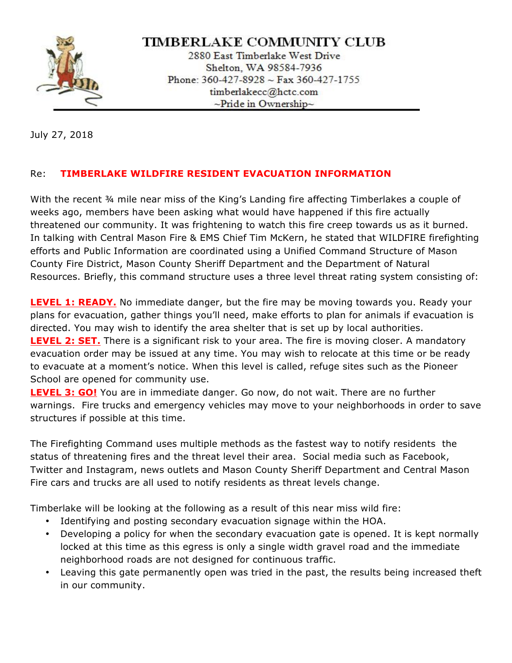

## TIMBERLAKE COMMUNITY CLUB

2880 East Timberlake West Drive Shelton, WA 98584-7936 Phone: 360-427-8928 ~ Fax 360-427-1755 timberlakecc@hctc.com  $\sim$ Pride in Ownership $\sim$ 

July 27, 2018

## Re: **TIMBERLAKE WILDFIRE RESIDENT EVACUATION INFORMATION**

With the recent ¾ mile near miss of the King's Landing fire affecting Timberlakes a couple of weeks ago, members have been asking what would have happened if this fire actually threatened our community. It was frightening to watch this fire creep towards us as it burned. In talking with Central Mason Fire & EMS Chief Tim McKern, he stated that WILDFIRE firefighting efforts and Public Information are coordinated using a Unified Command Structure of Mason County Fire District, Mason County Sheriff Department and the Department of Natural Resources. Briefly, this command structure uses a three level threat rating system consisting of:

**LEVEL 1: READY.** No immediate danger, but the fire may be moving towards you. Ready your plans for evacuation, gather things you'll need, make efforts to plan for animals if evacuation is directed. You may wish to identify the area shelter that is set up by local authorities. **LEVEL 2: SET.** There is a significant risk to your area. The fire is moving closer. A mandatory evacuation order may be issued at any time. You may wish to relocate at this time or be ready to evacuate at a moment's notice. When this level is called, refuge sites such as the Pioneer School are opened for community use.

**LEVEL 3: GO!** You are in immediate danger. Go now, do not wait. There are no further warnings. Fire trucks and emergency vehicles may move to your neighborhoods in order to save structures if possible at this time.

The Firefighting Command uses multiple methods as the fastest way to notify residents the status of threatening fires and the threat level their area. Social media such as Facebook, Twitter and Instagram, news outlets and Mason County Sheriff Department and Central Mason Fire cars and trucks are all used to notify residents as threat levels change.

Timberlake will be looking at the following as a result of this near miss wild fire:

- Identifying and posting secondary evacuation signage within the HOA.
- Developing a policy for when the secondary evacuation gate is opened. It is kept normally locked at this time as this egress is only a single width gravel road and the immediate neighborhood roads are not designed for continuous traffic.
- Leaving this gate permanently open was tried in the past, the results being increased theft in our community.